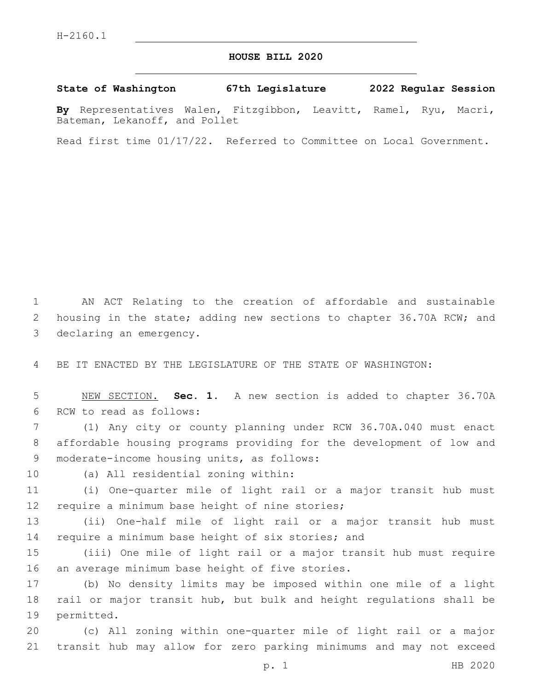## **HOUSE BILL 2020**

**State of Washington 67th Legislature 2022 Regular Session**

**By** Representatives Walen, Fitzgibbon, Leavitt, Ramel, Ryu, Macri, Bateman, Lekanoff, and Pollet

Read first time 01/17/22. Referred to Committee on Local Government.

1 AN ACT Relating to the creation of affordable and sustainable 2 housing in the state; adding new sections to chapter 36.70A RCW; and 3 declaring an emergency.

4 BE IT ENACTED BY THE LEGISLATURE OF THE STATE OF WASHINGTON:

5 NEW SECTION. **Sec. 1.** A new section is added to chapter 36.70A 6 RCW to read as follows:

7 (1) Any city or county planning under RCW 36.70A.040 must enact 8 affordable housing programs providing for the development of low and 9 moderate-income housing units, as follows:

10 (a) All residential zoning within:

11 (i) One-quarter mile of light rail or a major transit hub must 12 require a minimum base height of nine stories;

13 (ii) One-half mile of light rail or a major transit hub must 14 require a minimum base height of six stories; and

15 (iii) One mile of light rail or a major transit hub must require 16 an average minimum base height of five stories.

17 (b) No density limits may be imposed within one mile of a light 18 rail or major transit hub, but bulk and height regulations shall be 19 permitted.

20 (c) All zoning within one-quarter mile of light rail or a major 21 transit hub may allow for zero parking minimums and may not exceed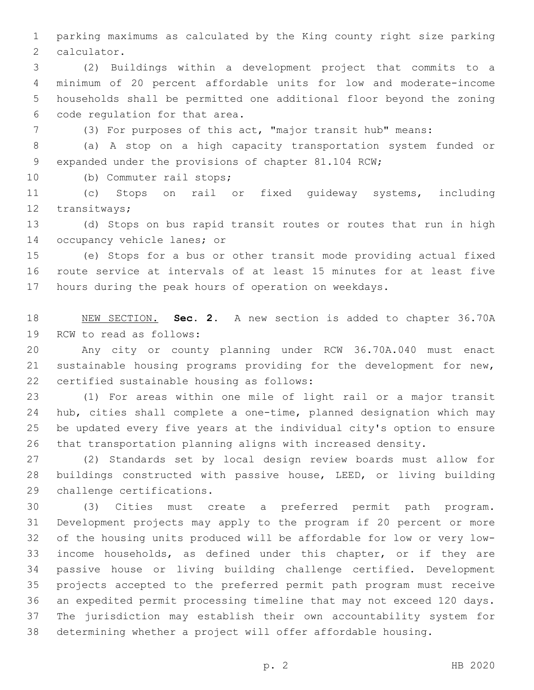parking maximums as calculated by the King county right size parking 2 calculator.

 (2) Buildings within a development project that commits to a minimum of 20 percent affordable units for low and moderate-income households shall be permitted one additional floor beyond the zoning 6 code regulation for that area.

(3) For purposes of this act, "major transit hub" means:

 (a) A stop on a high capacity transportation system funded or expanded under the provisions of chapter 81.104 RCW;

10 (b) Commuter rail stops;

 (c) Stops on rail or fixed guideway systems, including 12 transitways;

 (d) Stops on bus rapid transit routes or routes that run in high 14 occupancy vehicle lanes; or

 (e) Stops for a bus or other transit mode providing actual fixed route service at intervals of at least 15 minutes for at least five hours during the peak hours of operation on weekdays.

 NEW SECTION. **Sec. 2.** A new section is added to chapter 36.70A 19 RCW to read as follows:

 Any city or county planning under RCW 36.70A.040 must enact sustainable housing programs providing for the development for new, 22 certified sustainable housing as follows:

 (1) For areas within one mile of light rail or a major transit hub, cities shall complete a one-time, planned designation which may be updated every five years at the individual city's option to ensure that transportation planning aligns with increased density.

 (2) Standards set by local design review boards must allow for buildings constructed with passive house, LEED, or living building 29 challenge certifications.

 (3) Cities must create a preferred permit path program. Development projects may apply to the program if 20 percent or more of the housing units produced will be affordable for low or very low- income households, as defined under this chapter, or if they are passive house or living building challenge certified. Development projects accepted to the preferred permit path program must receive an expedited permit processing timeline that may not exceed 120 days. The jurisdiction may establish their own accountability system for determining whether a project will offer affordable housing.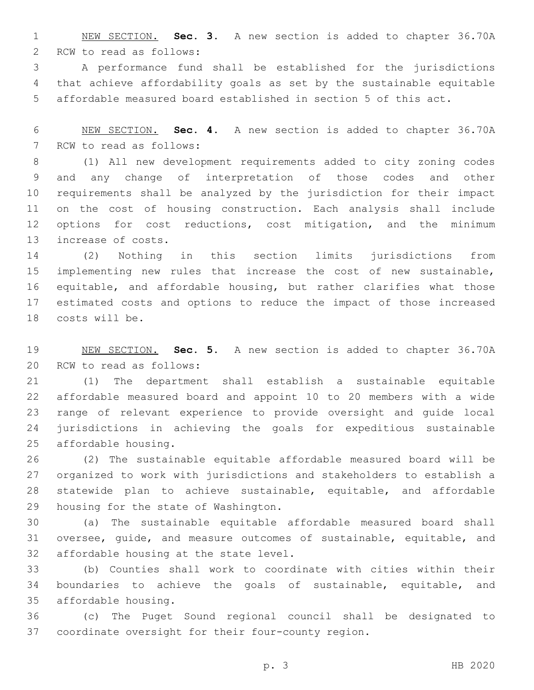NEW SECTION. **Sec. 3.** A new section is added to chapter 36.70A 2 RCW to read as follows:

 A performance fund shall be established for the jurisdictions that achieve affordability goals as set by the sustainable equitable affordable measured board established in section 5 of this act.

 NEW SECTION. **Sec. 4.** A new section is added to chapter 36.70A 7 RCW to read as follows:

 (1) All new development requirements added to city zoning codes and any change of interpretation of those codes and other requirements shall be analyzed by the jurisdiction for their impact on the cost of housing construction. Each analysis shall include options for cost reductions, cost mitigation, and the minimum 13 increase of costs.

 (2) Nothing in this section limits jurisdictions from implementing new rules that increase the cost of new sustainable, equitable, and affordable housing, but rather clarifies what those estimated costs and options to reduce the impact of those increased 18 costs will be.

 NEW SECTION. **Sec. 5.** A new section is added to chapter 36.70A 20 RCW to read as follows:

 (1) The department shall establish a sustainable equitable affordable measured board and appoint 10 to 20 members with a wide range of relevant experience to provide oversight and guide local jurisdictions in achieving the goals for expeditious sustainable 25 affordable housing.

 (2) The sustainable equitable affordable measured board will be organized to work with jurisdictions and stakeholders to establish a statewide plan to achieve sustainable, equitable, and affordable 29 housing for the state of Washington.

 (a) The sustainable equitable affordable measured board shall oversee, guide, and measure outcomes of sustainable, equitable, and 32 affordable housing at the state level.

 (b) Counties shall work to coordinate with cities within their boundaries to achieve the goals of sustainable, equitable, and affordable housing.35

 (c) The Puget Sound regional council shall be designated to coordinate oversight for their four-county region.